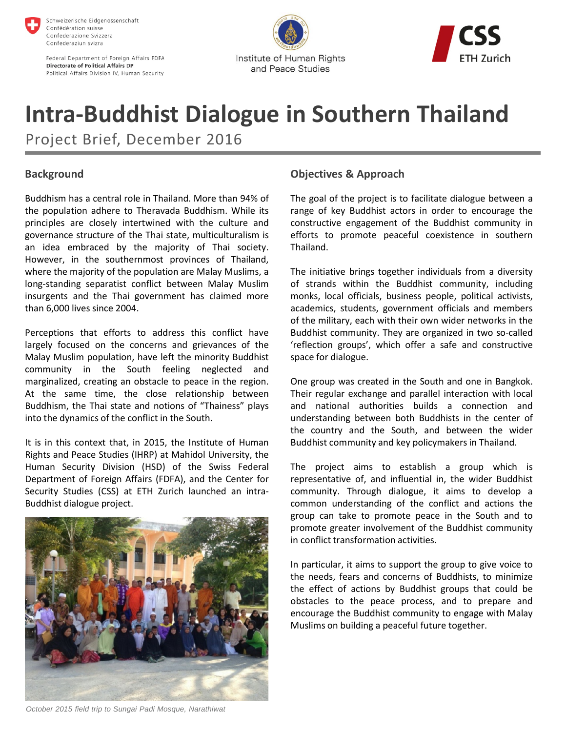

Schweizerische Eidgenossenschaft Confédération suisse Confederazione Svizzera Confederaziun svizra

Federal Department of Foreign Affairs FDFA **Directorate of Political Affairs DP** Political Affairs Division IV, Human Security





# **Intra-Buddhist Dialogue in Southern Thailand**

Project Brief, December 2016

# **Background**

Buddhism has a central role in Thailand. More than 94% of the population adhere to Theravada Buddhism. While its principles are closely intertwined with the culture and governance structure of the Thai state, multiculturalism is an idea embraced by the majority of Thai society. However, in the southernmost provinces of Thailand, where the majority of the population are Malay Muslims, a long-standing separatist conflict between Malay Muslim insurgents and the Thai government has claimed more than 6,000 lives since 2004.

Perceptions that efforts to address this conflict have largely focused on the concerns and grievances of the Malay Muslim population, have left the minority Buddhist community in the South feeling neglected and marginalized, creating an obstacle to peace in the region. At the same time, the close relationship between Buddhism, the Thai state and notions of "Thainess" plays into the dynamics of the conflict in the South.

It is in this context that, in 2015, the Institute of Human Rights and Peace Studies (IHRP) at Mahidol University, the Human Security Division (HSD) of the Swiss Federal Department of Foreign Affairs (FDFA), and the Center for Security Studies (CSS) at ETH Zurich launched an intra-Buddhist dialogue project.



# **Objectives & Approach**

The goal of the project is to facilitate dialogue between a range of key Buddhist actors in order to encourage the constructive engagement of the Buddhist community in efforts to promote peaceful coexistence in southern Thailand.

The initiative brings together individuals from a diversity of strands within the Buddhist community, including monks, local officials, business people, political activists, academics, students, government officials and members of the military, each with their own wider networks in the Buddhist community. They are organized in two so-called 'reflection groups', which offer a safe and constructive space for dialogue.

One group was created in the South and one in Bangkok. Their regular exchange and parallel interaction with local and national authorities builds a connection and understanding between both Buddhists in the center of the country and the South, and between the wider Buddhist community and key policymakers in Thailand.

The project aims to establish a group which is representative of, and influential in, the wider Buddhist community. Through dialogue, it aims to develop a common understanding of the conflict and actions the group can take to promote peace in the South and to promote greater involvement of the Buddhist community in conflict transformation activities.

In particular, it aims to support the group to give voice to the needs, fears and concerns of Buddhists, to minimize the effect of actions by Buddhist groups that could be obstacles to the peace process, and to prepare and encourage the Buddhist community to engage with Malay Muslims on building a peaceful future together.

*October 2015 field trip to Sungai Padi Mosque, Narathiwat*